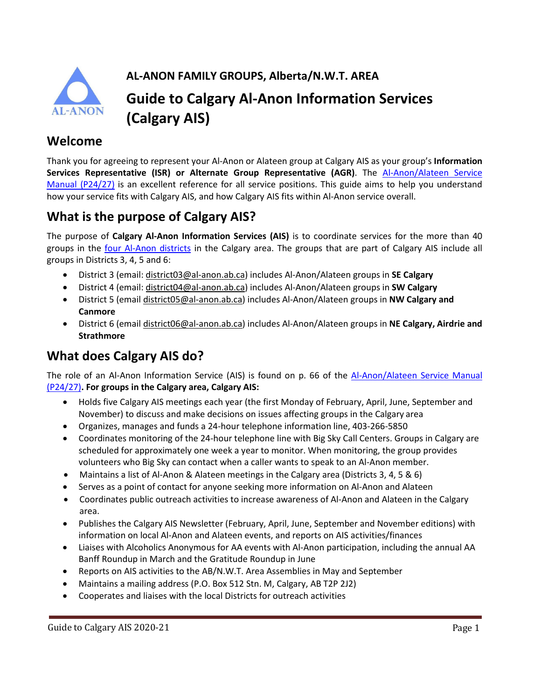

**AL-ANON FAMILY GROUPS, Alberta/N.W.T. AREA**

# **Guide to Calgary Al-Anon Information Services (Calgary AIS)**

#### **Welcome**

Thank you for agreeing to represent your Al-Anon or Alateen group at Calgary AIS as your group's **Information Services Representative (ISR) or Alternate Group Representative (AGR)**. The [Al-Anon/Alateen Service](https://al-anon.org/for-members/members-resources/manuals-and-guidelines/service-manual/)  [Manual \(P24/27\)](https://al-anon.org/for-members/members-resources/manuals-and-guidelines/service-manual/) is an excellent reference for all service positions. This guide aims to help you understand how your service fits with Calgary AIS, and how Calgary AIS fits within Al-Anon service overall.

## **What is the purpose of Calgary AIS?**

The purpose of **Calgary Al-Anon Information Services (AIS)** is to coordinate services for the more than 40 groups in the four [Al-Anon districts](https://al-anon.ab.ca/wp-content/uploads/2019/09/Alberta-NWT-Area-Map-Sept-2019.pdf) in the Calgary area. The groups that are part of Calgary AIS include all groups in Districts 3, 4, 5 and 6:

- District 3 (email: [district03@al-anon.ab.ca\)](mailto:district03@al-anon.ab.ca) includes Al-Anon/Alateen groups in **SE Calgary**
- District 4 (email: [district04@al-anon.ab.ca\)](mailto:district04@al-anon.ab.ca) includes Al-Anon/Alateen groups in **SW Calgary**
- District 5 (email [district05@al-anon.ab.ca\)](mailto:district05@al-anon.ab.ca) includes Al-Anon/Alateen groups in **NW Calgary and Canmore**
- District 6 (email [district06@al-anon.ab.ca\)](mailto:district06@al-anon.ab.ca) includes Al-Anon/Alateen groups in **NE Calgary, Airdrie and Strathmore**

# **What does Calgary AIS do?**

The role of an Al-Anon Information Service (AIS) is found on p. 66 of the [Al-Anon/Alateen Service Manual](https://al-anon.org/for-members/members-resources/manuals-and-guidelines/service-manual/)  [\(P24/27\)](https://al-anon.org/for-members/members-resources/manuals-and-guidelines/service-manual/)**. For groups in the Calgary area, Calgary AIS:**

- Holds five Calgary AIS meetings each year (the first Monday of February, April, June, September and November) to discuss and make decisions on issues affecting groups in the Calgary area
- Organizes, manages and funds a 24-hour telephone information line, 403-266-5850
- Coordinates monitoring of the 24-hour telephone line with Big Sky Call Centers. Groups in Calgary are scheduled for approximately one week a year to monitor. When monitoring, the group provides volunteers who Big Sky can contact when a caller wants to speak to an Al-Anon member.
- Maintains a list of Al-Anon & Alateen meetings in the Calgary area (Districts 3, 4, 5 & 6)
- Serves as a point of contact for anyone seeking more information on Al-Anon and Alateen
- Coordinates public outreach activities to increase awareness of Al-Anon and Alateen in the Calgary area.
- Publishes the Calgary AIS Newsletter (February, April, June, September and November editions) with information on local Al-Anon and Alateen events, and reports on AIS activities/finances
- Liaises with Alcoholics Anonymous for AA events with Al-Anon participation, including the annual AA Banff Roundup in March and the Gratitude Roundup in June
- Reports on AIS activities to the AB/N.W.T. Area Assemblies in May and September
- Maintains a mailing address (P.O. Box 512 Stn. M, Calgary, AB T2P 2J2)
- Cooperates and liaises with the local Districts for outreach activities